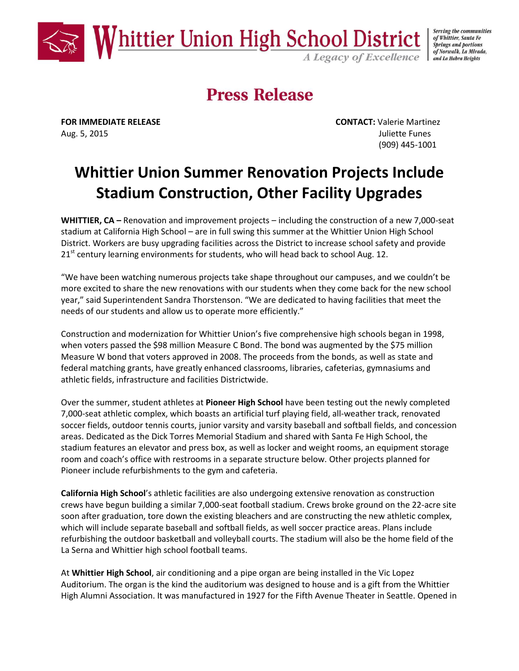

Serving the communities of Whittier, Santa Fe **Springs and portions** of Norwalk, La Mirada,

## **Press Release**

Aug. 5, 2015 **Juliette Funes** 

**FOR IMMEDIATE RELEASE CONTACT:** Valerie Martinez (909) 445-1001

## **Whittier Union Summer Renovation Projects Include Stadium Construction, Other Facility Upgrades**

**WHITTIER, CA –** Renovation and improvement projects – including the construction of a new 7,000-seat stadium at California High School – are in full swing this summer at the Whittier Union High School District. Workers are busy upgrading facilities across the District to increase school safety and provide  $21<sup>st</sup>$  century learning environments for students, who will head back to school Aug. 12.

"We have been watching numerous projects take shape throughout our campuses, and we couldn't be more excited to share the new renovations with our students when they come back for the new school year," said Superintendent Sandra Thorstenson. "We are dedicated to having facilities that meet the needs of our students and allow us to operate more efficiently."

Construction and modernization for Whittier Union's five comprehensive high schools began in 1998, when voters passed the \$98 million Measure C Bond. The bond was augmented by the \$75 million Measure W bond that voters approved in 2008. The proceeds from the bonds, as well as state and federal matching grants, have greatly enhanced classrooms, libraries, cafeterias, gymnasiums and athletic fields, infrastructure and facilities Districtwide.

Over the summer, student athletes at **Pioneer High School** have been testing out the newly completed 7,000-seat athletic complex, which boasts an artificial turf playing field, all-weather track, renovated soccer fields, outdoor tennis courts, junior varsity and varsity baseball and softball fields, and concession areas. Dedicated as the Dick Torres Memorial Stadium and shared with Santa Fe High School, the stadium features an elevator and press box, as well as locker and weight rooms, an equipment storage room and coach's office with restrooms in a separate structure below. Other projects planned for Pioneer include refurbishments to the gym and cafeteria.

**California High School**'s athletic facilities are also undergoing extensive renovation as construction crews have begun building a similar 7,000-seat football stadium. Crews broke ground on the 22-acre site soon after graduation, tore down the existing bleachers and are constructing the new athletic complex, which will include separate baseball and softball fields, as well soccer practice areas. Plans include refurbishing the outdoor basketball and volleyball courts. The stadium will also be the home field of the La Serna and Whittier high school football teams.

At **Whittier High School**, air conditioning and a pipe organ are being installed in the Vic Lopez Auditorium. The organ is the kind the auditorium was designed to house and is a gift from the Whittier High Alumni Association. It was manufactured in 1927 for the Fifth Avenue Theater in Seattle. Opened in